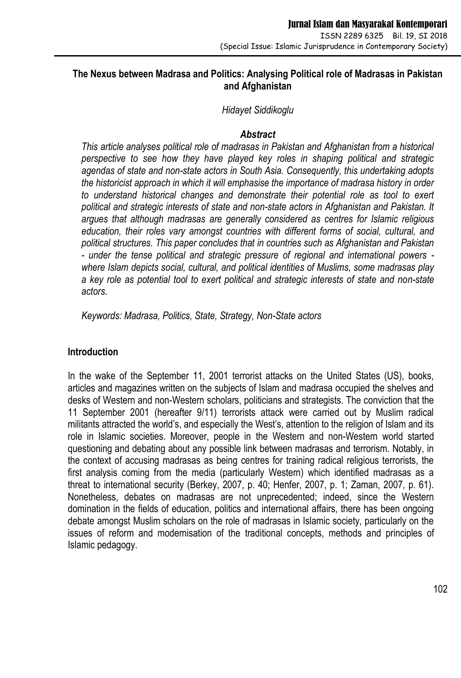# **The Nexus between Madrasa and Politics: Analysing Political role of Madrasas in Pakistan and Afghanistan**

#### *Hidayet Siddikoglu*

#### *Abstract*

*This article analyses political role of madrasas in Pakistan and Afghanistan from a historical perspective to see how they have played key roles in shaping political and strategic agendas of state and non-state actors in South Asia. Consequently, this undertaking adopts the historicist approach in which it will emphasise the importance of madrasa history in order to understand historical changes and demonstrate their potential role as tool to exert political and strategic interests of state and non-state actors in Afghanistan and Pakistan. It argues that although madrasas are generally considered as centres for Islamic religious education, their roles vary amongst countries with different forms of social, cultural, and political structures. This paper concludes that in countries such as Afghanistan and Pakistan - under the tense political and strategic pressure of regional and international powers where Islam depicts social, cultural, and political identities of Muslims, some madrasas play a key role as potential tool to exert political and strategic interests of state and non-state actors.*

*Keywords: Madrasa, Politics, State, Strategy, Non-State actors*

# **Introduction**

In the wake of the September 11, 2001 terrorist attacks on the United States (US), books, articles and magazines written on the subjects of Islam and madrasa occupied the shelves and desks of Western and non-Western scholars, politicians and strategists. The conviction that the 11 September 2001 (hereafter 9/11) terrorists attack were carried out by Muslim radical militants attracted the world's, and especially the West's, attention to the religion of Islam and its role in Islamic societies. Moreover, people in the Western and non-Western world started questioning and debating about any possible link between madrasas and terrorism. Notably, in the context of accusing madrasas as being centres for training radical religious terrorists, the first analysis coming from the media (particularly Western) which identified madrasas as a threat to international security (Berkey, 2007, p. 40; Henfer, 2007, p. 1; Zaman, 2007, p. 61). Nonetheless, debates on madrasas are not unprecedented; indeed, since the Western domination in the fields of education, politics and international affairs, there has been ongoing debate amongst Muslim scholars on the role of madrasas in Islamic society, particularly on the issues of reform and modernisation of the traditional concepts, methods and principles of Islamic pedagogy.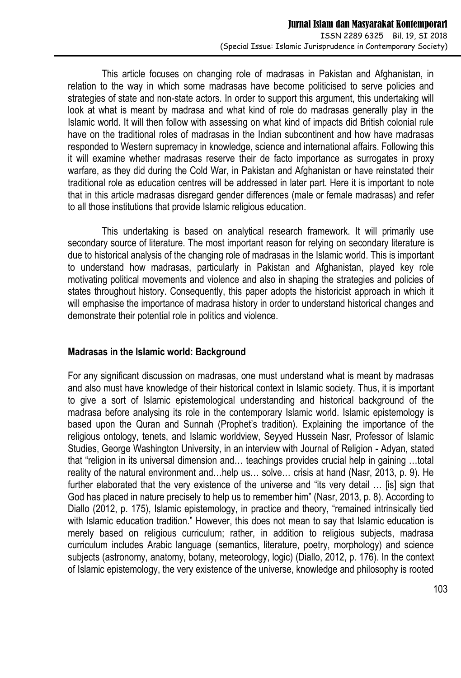This article focuses on changing role of madrasas in Pakistan and Afghanistan, in relation to the way in which some madrasas have become politicised to serve policies and strategies of state and non-state actors. In order to support this argument, this undertaking will look at what is meant by madrasa and what kind of role do madrasas generally play in the Islamic world. It will then follow with assessing on what kind of impacts did British colonial rule have on the traditional roles of madrasas in the Indian subcontinent and how have madrasas responded to Western supremacy in knowledge, science and international affairs. Following this it will examine whether madrasas reserve their de facto importance as surrogates in proxy warfare, as they did during the Cold War, in Pakistan and Afghanistan or have reinstated their traditional role as education centres will be addressed in later part. Here it is important to note that in this article madrasas disregard gender differences (male or female madrasas) and refer to all those institutions that provide Islamic religious education.

This undertaking is based on analytical research framework. It will primarily use secondary source of literature. The most important reason for relying on secondary literature is due to historical analysis of the changing role of madrasas in the Islamic world. This is important to understand how madrasas, particularly in Pakistan and Afghanistan, played key role motivating political movements and violence and also in shaping the strategies and policies of states throughout history. Consequently, this paper adopts the historicist approach in which it will emphasise the importance of madrasa history in order to understand historical changes and demonstrate their potential role in politics and violence.

# **Madrasas in the Islamic world: Background**

For any significant discussion on madrasas, one must understand what is meant by madrasas and also must have knowledge of their historical context in Islamic society. Thus, it is important to give a sort of Islamic epistemological understanding and historical background of the madrasa before analysing its role in the contemporary Islamic world. Islamic epistemology is based upon the Quran and Sunnah (Prophet's tradition). Explaining the importance of the religious ontology, tenets, and Islamic worldview, Seyyed Hussein Nasr, Professor of Islamic Studies, George Washington University, in an interview with Journal of Religion - Adyan, stated that "religion in its universal dimension and… teachings provides crucial help in gaining …total reality of the natural environment and…help us… solve… crisis at hand (Nasr, 2013, p. 9). He further elaborated that the very existence of the universe and "its very detail … [is] sign that God has placed in nature precisely to help us to remember him" (Nasr, 2013, p. 8). According to Diallo (2012, p. 175), Islamic epistemology, in practice and theory, "remained intrinsically tied with Islamic education tradition." However, this does not mean to say that Islamic education is merely based on religious curriculum; rather, in addition to religious subjects, madrasa curriculum includes Arabic language (semantics, literature, poetry, morphology) and science subjects (astronomy, anatomy, botany, meteorology, logic) (Diallo, 2012, p. 176). In the context of Islamic epistemology, the very existence of the universe, knowledge and philosophy is rooted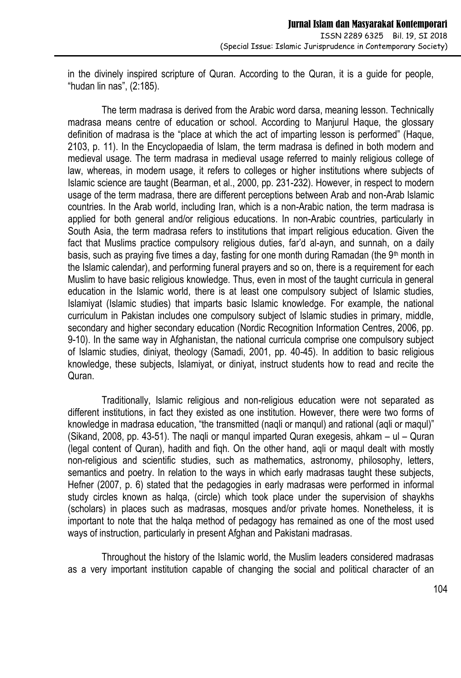in the divinely inspired scripture of Quran. According to the Quran, it is a guide for people, "hudan lin nas", (2:185).

The term madrasa is derived from the Arabic word darsa, meaning lesson. Technically madrasa means centre of education or school. According to Manjurul Haque, the glossary definition of madrasa is the "place at which the act of imparting lesson is performed" (Haque, 2103, p. 11). In the Encyclopaedia of Islam, the term madrasa is defined in both modern and medieval usage. The term madrasa in medieval usage referred to mainly religious college of law, whereas, in modern usage, it refers to colleges or higher institutions where subjects of Islamic science are taught (Bearman, et al., 2000, pp. 231-232). However, in respect to modern usage of the term madrasa, there are different perceptions between Arab and non-Arab Islamic countries. In the Arab world, including Iran, which is a non-Arabic nation, the term madrasa is applied for both general and/or religious educations. In non-Arabic countries, particularly in South Asia, the term madrasa refers to institutions that impart religious education. Given the fact that Muslims practice compulsory religious duties, far'd al-ayn, and sunnah, on a daily basis, such as praying five times a day, fasting for one month during Ramadan (the 9<sup>th</sup> month in the Islamic calendar), and performing funeral prayers and so on, there is a requirement for each Muslim to have basic religious knowledge. Thus, even in most of the taught curricula in general education in the Islamic world, there is at least one compulsory subject of Islamic studies, Islamiyat (Islamic studies) that imparts basic Islamic knowledge. For example, the national curriculum in Pakistan includes one compulsory subject of Islamic studies in primary, middle, secondary and higher secondary education (Nordic Recognition Information Centres, 2006, pp. 9-10). In the same way in Afghanistan, the national curricula comprise one compulsory subject of Islamic studies, diniyat, theology (Samadi, 2001, pp. 40-45). In addition to basic religious knowledge, these subjects, Islamiyat, or diniyat, instruct students how to read and recite the Quran.

Traditionally, Islamic religious and non-religious education were not separated as different institutions, in fact they existed as one institution. However, there were two forms of knowledge in madrasa education, "the transmitted (naqli or manqul) and rational (aqli or maqul)" (Sikand, 2008, pp. 43-51). The naqli or manqul imparted Quran exegesis, ahkam – ul – Quran (legal content of Quran), hadith and fiqh. On the other hand, aqli or maqul dealt with mostly non-religious and scientific studies, such as mathematics, astronomy, philosophy, letters, semantics and poetry. In relation to the ways in which early madrasas taught these subjects, Hefner (2007, p. 6) stated that the pedagogies in early madrasas were performed in informal study circles known as halqa, (circle) which took place under the supervision of shaykhs (scholars) in places such as madrasas, mosques and/or private homes. Nonetheless, it is important to note that the halqa method of pedagogy has remained as one of the most used ways of instruction, particularly in present Afghan and Pakistani madrasas.

Throughout the history of the Islamic world, the Muslim leaders considered madrasas as a very important institution capable of changing the social and political character of an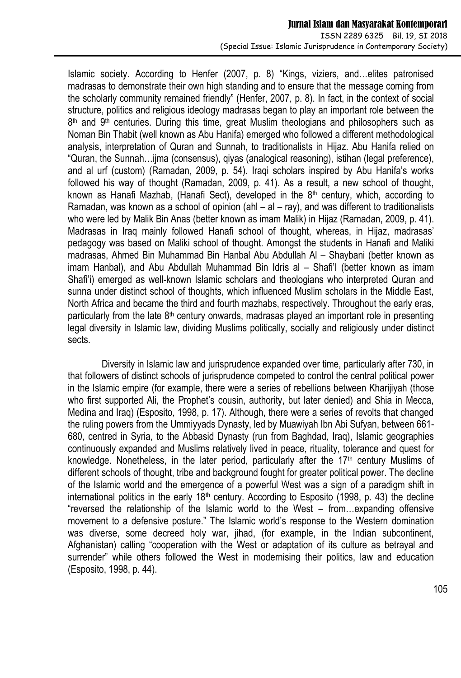Islamic society. According to Henfer (2007, p. 8) "Kings, viziers, and…elites patronised madrasas to demonstrate their own high standing and to ensure that the message coming from the scholarly community remained friendly" (Henfer, 2007, p. 8). In fact, in the context of social structure, politics and religious ideology madrasas began to play an important role between the 8<sup>th</sup> and 9<sup>th</sup> centuries. During this time, great Muslim theologians and philosophers such as Noman Bin Thabit (well known as Abu Hanifa) emerged who followed a different methodological analysis, interpretation of Quran and Sunnah, to traditionalists in Hijaz. Abu Hanifa relied on "Quran, the Sunnah…ijma (consensus), qiyas (analogical reasoning), istihan (legal preference), and al urf (custom) (Ramadan, 2009, p. 54). Iraqi scholars inspired by Abu Hanifa's works followed his way of thought (Ramadan, 2009, p. 41). As a result, a new school of thought, known as Hanafi Mazhab, (Hanafi Sect), developed in the  $8<sup>th</sup>$  century, which, according to Ramadan, was known as a school of opinion (ahl  $-$  al  $-$  ray), and was different to traditionalists who were led by Malik Bin Anas (better known as imam Malik) in Hijaz (Ramadan, 2009, p. 41). Madrasas in Iraq mainly followed Hanafi school of thought, whereas, in Hijaz, madrasas' pedagogy was based on Maliki school of thought. Amongst the students in Hanafi and Maliki madrasas, Ahmed Bin Muhammad Bin Hanbal Abu Abdullah Al – Shaybani (better known as imam Hanbal), and Abu Abdullah Muhammad Bin Idris al – Shafi'I (better known as imam Shafi'i) emerged as well-known Islamic scholars and theologians who interpreted Quran and sunna under distinct school of thoughts, which influenced Muslim scholars in the Middle East, North Africa and became the third and fourth mazhabs, respectively. Throughout the early eras, particularly from the late  $8<sup>th</sup>$  century onwards, madrasas played an important role in presenting legal diversity in Islamic law, dividing Muslims politically, socially and religiously under distinct sects.

Diversity in Islamic law and jurisprudence expanded over time, particularly after 730, in that followers of distinct schools of jurisprudence competed to control the central political power in the Islamic empire (for example, there were a series of rebellions between Kharijiyah (those who first supported Ali, the Prophet's cousin, authority, but later denied) and Shia in Mecca, Medina and Iraq) (Esposito, 1998, p. 17). Although, there were a series of revolts that changed the ruling powers from the Ummiyyads Dynasty, led by Muawiyah Ibn Abi Sufyan, between 661- 680, centred in Syria, to the Abbasid Dynasty (run from Baghdad, Iraq), Islamic geographies continuously expanded and Muslims relatively lived in peace, rituality, tolerance and quest for knowledge. Nonetheless, in the later period, particularly after the  $17<sup>th</sup>$  century Muslims of different schools of thought, tribe and background fought for greater political power. The decline of the Islamic world and the emergence of a powerful West was a sign of a paradigm shift in international politics in the early  $18<sup>th</sup>$  century. According to Esposito (1998, p. 43) the decline "reversed the relationship of the Islamic world to the West – from…expanding offensive movement to a defensive posture." The Islamic world's response to the Western domination was diverse, some decreed holy war, jihad, (for example, in the Indian subcontinent, Afghanistan) calling "cooperation with the West or adaptation of its culture as betrayal and surrender" while others followed the West in modernising their politics, law and education (Esposito, 1998, p. 44).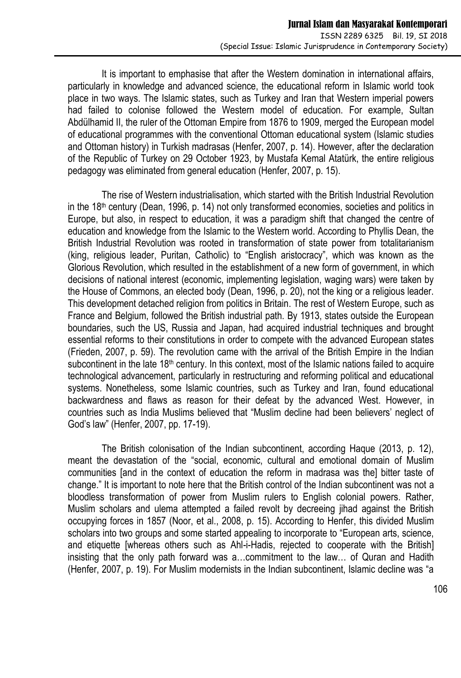It is important to emphasise that after the Western domination in international affairs, particularly in knowledge and advanced science, the educational reform in Islamic world took place in two ways. The Islamic states, such as Turkey and Iran that Western imperial powers had failed to colonise followed the Western model of education. For example, Sultan Abdülhamid II, the ruler of the Ottoman Empire from 1876 to 1909, merged the European model of educational programmes with the conventional Ottoman educational system (Islamic studies and Ottoman history) in Turkish madrasas (Henfer, 2007, p. 14). However, after the declaration of the Republic of Turkey on 29 October 1923, by Mustafa Kemal Atatürk, the entire religious pedagogy was eliminated from general education (Henfer, 2007, p. 15).

The rise of Western industrialisation, which started with the British Industrial Revolution in the  $18<sup>th</sup>$  century (Dean, 1996, p. 14) not only transformed economies, societies and politics in Europe, but also, in respect to education, it was a paradigm shift that changed the centre of education and knowledge from the Islamic to the Western world. According to Phyllis Dean, the British Industrial Revolution was rooted in transformation of state power from totalitarianism (king, religious leader, Puritan, Catholic) to "English aristocracy", which was known as the Glorious Revolution, which resulted in the establishment of a new form of government, in which decisions of national interest (economic, implementing legislation, waging wars) were taken by the House of Commons, an elected body (Dean, 1996, p. 20), not the king or a religious leader. This development detached religion from politics in Britain. The rest of Western Europe, such as France and Belgium, followed the British industrial path. By 1913, states outside the European boundaries, such the US, Russia and Japan, had acquired industrial techniques and brought essential reforms to their constitutions in order to compete with the advanced European states (Frieden, 2007, p. 59). The revolution came with the arrival of the British Empire in the Indian subcontinent in the late 18<sup>th</sup> century. In this context, most of the Islamic nations failed to acquire technological advancement, particularly in restructuring and reforming political and educational systems. Nonetheless, some Islamic countries, such as Turkey and Iran, found educational backwardness and flaws as reason for their defeat by the advanced West. However, in countries such as India Muslims believed that "Muslim decline had been believers' neglect of God's law" (Henfer, 2007, pp. 17-19).

The British colonisation of the Indian subcontinent, according Haque (2013, p. 12), meant the devastation of the "social, economic, cultural and emotional domain of Muslim communities [and in the context of education the reform in madrasa was the] bitter taste of change." It is important to note here that the British control of the Indian subcontinent was not a bloodless transformation of power from Muslim rulers to English colonial powers. Rather, Muslim scholars and ulema attempted a failed revolt by decreeing jihad against the British occupying forces in 1857 (Noor, et al., 2008, p. 15). According to Henfer, this divided Muslim scholars into two groups and some started appealing to incorporate to "European arts, science, and etiquette [whereas others such as Ahl-i-Hadis, rejected to cooperate with the British] insisting that the only path forward was a…commitment to the law… of Quran and Hadith (Henfer, 2007, p. 19). For Muslim modernists in the Indian subcontinent, Islamic decline was "a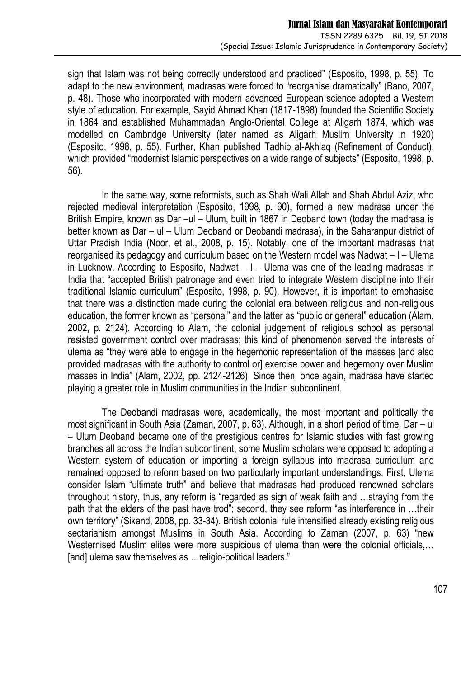sign that Islam was not being correctly understood and practiced" (Esposito, 1998, p. 55). To adapt to the new environment, madrasas were forced to "reorganise dramatically" (Bano, 2007, p. 48). Those who incorporated with modern advanced European science adopted a Western style of education. For example, Sayid Ahmad Khan (1817-1898) founded the Scientific Society in 1864 and established Muhammadan Anglo-Oriental College at Aligarh 1874, which was modelled on Cambridge University (later named as Aligarh Muslim University in 1920) (Esposito, 1998, p. 55). Further, Khan published Tadhib al-Akhlaq (Refinement of Conduct), which provided "modernist Islamic perspectives on a wide range of subjects" (Esposito, 1998, p. 56).

In the same way, some reformists, such as Shah Wali Allah and Shah Abdul Aziz, who rejected medieval interpretation (Esposito, 1998, p. 90), formed a new madrasa under the British Empire, known as Dar –ul – Ulum, built in 1867 in Deoband town (today the madrasa is better known as Dar – ul – Ulum Deoband or Deobandi madrasa), in the Saharanpur district of Uttar Pradish India (Noor, et al., 2008, p. 15). Notably, one of the important madrasas that reorganised its pedagogy and curriculum based on the Western model was Nadwat – I – Ulema in Lucknow. According to Esposito, Nadwat  $-1$  – Ulema was one of the leading madrasas in India that "accepted British patronage and even tried to integrate Western discipline into their traditional Islamic curriculum" (Esposito, 1998, p. 90). However, it is important to emphasise that there was a distinction made during the colonial era between religious and non-religious education, the former known as "personal" and the latter as "public or general" education (Alam, 2002, p. 2124). According to Alam, the colonial judgement of religious school as personal resisted government control over madrasas; this kind of phenomenon served the interests of ulema as "they were able to engage in the hegemonic representation of the masses [and also provided madrasas with the authority to control or] exercise power and hegemony over Muslim masses in India" (Alam, 2002, pp. 2124-2126). Since then, once again, madrasa have started playing a greater role in Muslim communities in the Indian subcontinent.

The Deobandi madrasas were, academically, the most important and politically the most significant in South Asia (Zaman, 2007, p. 63). Although, in a short period of time, Dar – ul – Ulum Deoband became one of the prestigious centres for Islamic studies with fast growing branches all across the Indian subcontinent, some Muslim scholars were opposed to adopting a Western system of education or importing a foreign syllabus into madrasa curriculum and remained opposed to reform based on two particularly important understandings. First, Ulema consider Islam "ultimate truth" and believe that madrasas had produced renowned scholars throughout history, thus, any reform is "regarded as sign of weak faith and …straying from the path that the elders of the past have trod"; second, they see reform "as interference in …their own territory" (Sikand, 2008, pp. 33-34). British colonial rule intensified already existing religious sectarianism amongst Muslims in South Asia. According to Zaman (2007, p. 63) "new Westernised Muslim elites were more suspicious of ulema than were the colonial officials,… [and] ulema saw themselves as ... religio-political leaders."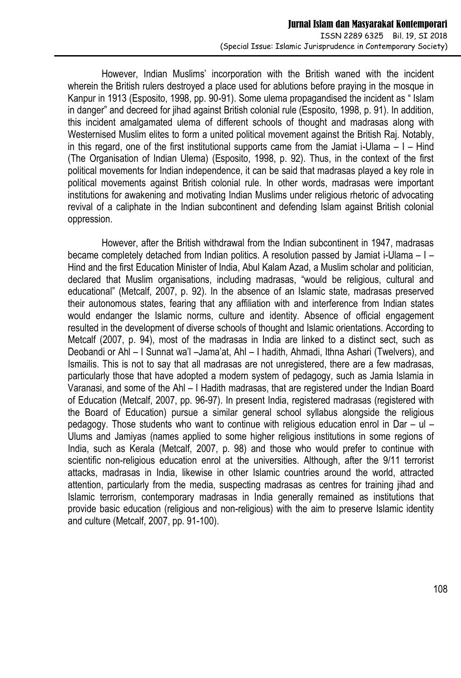However, Indian Muslims' incorporation with the British waned with the incident wherein the British rulers destroyed a place used for ablutions before praying in the mosque in Kanpur in 1913 (Esposito, 1998, pp. 90-91). Some ulema propagandised the incident as " Islam in danger" and decreed for jihad against British colonial rule (Esposito, 1998, p. 91). In addition, this incident amalgamated ulema of different schools of thought and madrasas along with Westernised Muslim elites to form a united political movement against the British Raj. Notably, in this regard, one of the first institutional supports came from the Jamiat i-Ulama  $-1$  – Hind (The Organisation of Indian Ulema) (Esposito, 1998, p. 92). Thus, in the context of the first political movements for Indian independence, it can be said that madrasas played a key role in political movements against British colonial rule. In other words, madrasas were important institutions for awakening and motivating Indian Muslims under religious rhetoric of advocating revival of a caliphate in the Indian subcontinent and defending Islam against British colonial oppression.

However, after the British withdrawal from the Indian subcontinent in 1947, madrasas became completely detached from Indian politics. A resolution passed by Jamiat i-Ulama – I – Hind and the first Education Minister of India, Abul Kalam Azad, a Muslim scholar and politician, declared that Muslim organisations, including madrasas, "would be religious, cultural and educational" (Metcalf, 2007, p. 92). In the absence of an Islamic state, madrasas preserved their autonomous states, fearing that any affiliation with and interference from Indian states would endanger the Islamic norms, culture and identity. Absence of official engagement resulted in the development of diverse schools of thought and Islamic orientations. According to Metcalf (2007, p. 94), most of the madrasas in India are linked to a distinct sect, such as Deobandi or Ahl – I Sunnat wa'l –Jama'at, Ahl – I hadith, Ahmadi, Ithna Ashari (Twelvers), and Ismailis. This is not to say that all madrasas are not unregistered, there are a few madrasas, particularly those that have adopted a modern system of pedagogy, such as Jamia Islamia in Varanasi, and some of the Ahl – I Hadith madrasas, that are registered under the Indian Board of Education (Metcalf, 2007, pp. 96-97). In present India, registered madrasas (registered with the Board of Education) pursue a similar general school syllabus alongside the religious pedagogy. Those students who want to continue with religious education enrol in Dar –  $ul -$ Ulums and Jamiyas (names applied to some higher religious institutions in some regions of India, such as Kerala (Metcalf, 2007, p. 98) and those who would prefer to continue with scientific non-religious education enrol at the universities. Although, after the 9/11 terrorist attacks, madrasas in India, likewise in other Islamic countries around the world, attracted attention, particularly from the media, suspecting madrasas as centres for training jihad and Islamic terrorism, contemporary madrasas in India generally remained as institutions that provide basic education (religious and non-religious) with the aim to preserve Islamic identity and culture (Metcalf, 2007, pp. 91-100).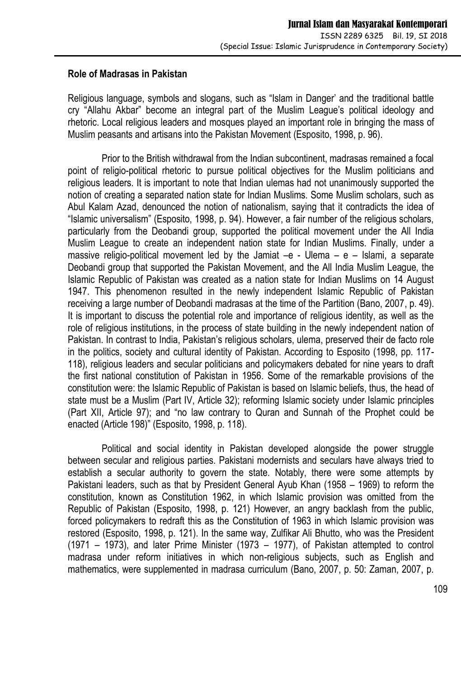### **Role of Madrasas in Pakistan**

Religious language, symbols and slogans, such as "Islam in Danger' and the traditional battle cry "Allahu Akbar" become an integral part of the Muslim League's political ideology and rhetoric. Local religious leaders and mosques played an important role in bringing the mass of Muslim peasants and artisans into the Pakistan Movement (Esposito, 1998, p. 96).

Prior to the British withdrawal from the Indian subcontinent, madrasas remained a focal point of religio-political rhetoric to pursue political objectives for the Muslim politicians and religious leaders. It is important to note that Indian ulemas had not unanimously supported the notion of creating a separated nation state for Indian Muslims. Some Muslim scholars, such as Abul Kalam Azad, denounced the notion of nationalism, saying that it contradicts the idea of "Islamic universalism" (Esposito, 1998, p. 94). However, a fair number of the religious scholars, particularly from the Deobandi group, supported the political movement under the All India Muslim League to create an independent nation state for Indian Muslims. Finally, under a massive religio-political movement led by the Jamiat  $-e$  - Ulema – e – Islami, a separate Deobandi group that supported the Pakistan Movement, and the All India Muslim League, the Islamic Republic of Pakistan was created as a nation state for Indian Muslims on 14 August 1947. This phenomenon resulted in the newly independent Islamic Republic of Pakistan receiving a large number of Deobandi madrasas at the time of the Partition (Bano, 2007, p. 49). It is important to discuss the potential role and importance of religious identity, as well as the role of religious institutions, in the process of state building in the newly independent nation of Pakistan. In contrast to India, Pakistan's religious scholars, ulema, preserved their de facto role in the politics, society and cultural identity of Pakistan. According to Esposito (1998, pp. 117- 118), religious leaders and secular politicians and policymakers debated for nine years to draft the first national constitution of Pakistan in 1956. Some of the remarkable provisions of the constitution were: the Islamic Republic of Pakistan is based on Islamic beliefs, thus, the head of state must be a Muslim (Part IV, Article 32); reforming Islamic society under Islamic principles (Part XII, Article 97); and "no law contrary to Quran and Sunnah of the Prophet could be enacted (Article 198)" (Esposito, 1998, p. 118).

Political and social identity in Pakistan developed alongside the power struggle between secular and religious parties. Pakistani modernists and seculars have always tried to establish a secular authority to govern the state. Notably, there were some attempts by Pakistani leaders, such as that by President General Ayub Khan (1958 – 1969) to reform the constitution, known as Constitution 1962, in which Islamic provision was omitted from the Republic of Pakistan (Esposito, 1998, p. 121) However, an angry backlash from the public, forced policymakers to redraft this as the Constitution of 1963 in which Islamic provision was restored (Esposito, 1998, p. 121). In the same way, Zulfikar Ali Bhutto, who was the President (1971 – 1973), and later Prime Minister (1973 – 1977), of Pakistan attempted to control madrasa under reform initiatives in which non-religious subjects, such as English and mathematics, were supplemented in madrasa curriculum (Bano, 2007, p. 50: Zaman, 2007, p.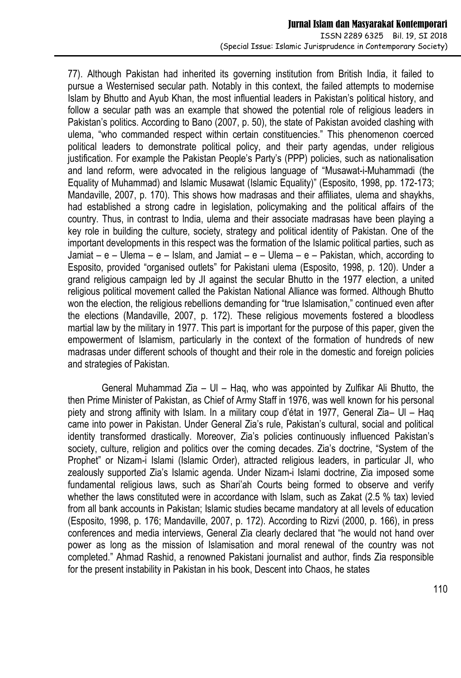77). Although Pakistan had inherited its governing institution from British India, it failed to pursue a Westernised secular path. Notably in this context, the failed attempts to modernise Islam by Bhutto and Ayub Khan, the most influential leaders in Pakistan's political history, and follow a secular path was an example that showed the potential role of religious leaders in Pakistan's politics. According to Bano (2007, p. 50), the state of Pakistan avoided clashing with ulema, "who commanded respect within certain constituencies." This phenomenon coerced political leaders to demonstrate political policy, and their party agendas, under religious justification. For example the Pakistan People's Party's (PPP) policies, such as nationalisation and land reform, were advocated in the religious language of "Musawat-i-Muhammadi (the Equality of Muhammad) and Islamic Musawat (Islamic Equality)" (Esposito, 1998, pp. 172-173; Mandaville, 2007, p. 170). This shows how madrasas and their affiliates, ulema and shaykhs, had established a strong cadre in legislation, policymaking and the political affairs of the country. Thus, in contrast to India, ulema and their associate madrasas have been playing a key role in building the culture, society, strategy and political identity of Pakistan. One of the important developments in this respect was the formation of the Islamic political parties, such as Jamiat – e – Ulema – e – Islam, and Jamiat – e – Ulema – e – Pakistan, which, according to Esposito, provided "organised outlets" for Pakistani ulema (Esposito, 1998, p. 120). Under a grand religious campaign led by JI against the secular Bhutto in the 1977 election, a united religious political movement called the Pakistan National Alliance was formed. Although Bhutto won the election, the religious rebellions demanding for "true Islamisation," continued even after the elections (Mandaville, 2007, p. 172). These religious movements fostered a bloodless martial law by the military in 1977. This part is important for the purpose of this paper, given the empowerment of Islamism, particularly in the context of the formation of hundreds of new madrasas under different schools of thought and their role in the domestic and foreign policies and strategies of Pakistan.

General Muhammad Zia – Ul – Haq, who was appointed by Zulfikar Ali Bhutto, the then Prime Minister of Pakistan, as Chief of Army Staff in 1976, was well known for his personal piety and strong affinity with Islam. In a military coup d'état in 1977, General Zia– Ul – Haq came into power in Pakistan. Under General Zia's rule, Pakistan's cultural, social and political identity transformed drastically. Moreover, Zia's policies continuously influenced Pakistan's society, culture, religion and politics over the coming decades. Zia's doctrine, "System of the Prophet" or Nizam-i Islami (Islamic Order), attracted religious leaders, in particular JI, who zealously supported Zia's Islamic agenda. Under Nizam-i Islami doctrine, Zia imposed some fundamental religious laws, such as Shari'ah Courts being formed to observe and verify whether the laws constituted were in accordance with Islam, such as Zakat (2.5 % tax) levied from all bank accounts in Pakistan; Islamic studies became mandatory at all levels of education (Esposito, 1998, p. 176; Mandaville, 2007, p. 172). According to Rizvi (2000, p. 166), in press conferences and media interviews, General Zia clearly declared that "he would not hand over power as long as the mission of Islamisation and moral renewal of the country was not completed." Ahmad Rashid, a renowned Pakistani journalist and author, finds Zia responsible for the present instability in Pakistan in his book, Descent into Chaos, he states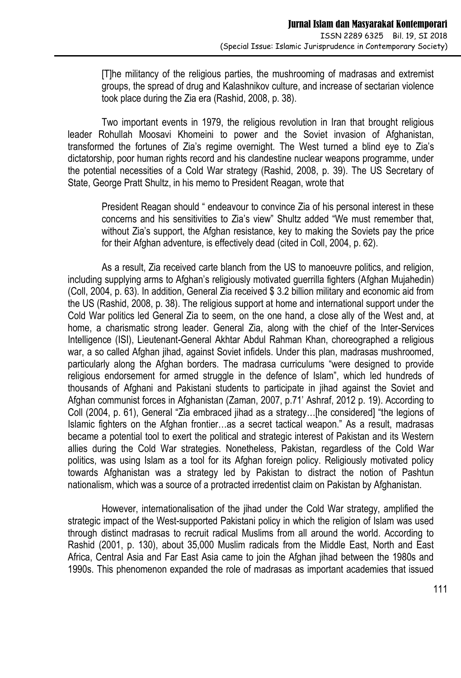[T]he militancy of the religious parties, the mushrooming of madrasas and extremist groups, the spread of drug and Kalashnikov culture, and increase of sectarian violence took place during the Zia era (Rashid, 2008, p. 38).

Two important events in 1979, the religious revolution in Iran that brought religious leader Rohullah Moosavi Khomeini to power and the Soviet invasion of Afghanistan, transformed the fortunes of Zia's regime overnight. The West turned a blind eye to Zia's dictatorship, poor human rights record and his clandestine nuclear weapons programme, under the potential necessities of a Cold War strategy (Rashid, 2008, p. 39). The US Secretary of State, George Pratt Shultz, in his memo to President Reagan, wrote that

President Reagan should " endeavour to convince Zia of his personal interest in these concerns and his sensitivities to Zia's view" Shultz added "We must remember that, without Zia's support, the Afghan resistance, key to making the Soviets pay the price for their Afghan adventure, is effectively dead (cited in Coll, 2004, p. 62).

As a result, Zia received carte blanch from the US to manoeuvre politics, and religion, including supplying arms to Afghan's religiously motivated guerrilla fighters (Afghan Mujahedin) (Coll, 2004, p. 63). In addition, General Zia received \$ 3.2 billion military and economic aid from the US (Rashid, 2008, p. 38). The religious support at home and international support under the Cold War politics led General Zia to seem, on the one hand, a close ally of the West and, at home, a charismatic strong leader. General Zia, along with the chief of the Inter-Services Intelligence (ISI), Lieutenant-General Akhtar Abdul Rahman Khan, choreographed a religious war, a so called Afghan jihad, against Soviet infidels. Under this plan, madrasas mushroomed, particularly along the Afghan borders. The madrasa curriculums "were designed to provide religious endorsement for armed struggle in the defence of Islam", which led hundreds of thousands of Afghani and Pakistani students to participate in jihad against the Soviet and Afghan communist forces in Afghanistan (Zaman, 2007, p.71' Ashraf, 2012 p. 19). According to Coll (2004, p. 61), General "Zia embraced jihad as a strategy…[he considered] "the legions of Islamic fighters on the Afghan frontier…as a secret tactical weapon." As a result, madrasas became a potential tool to exert the political and strategic interest of Pakistan and its Western allies during the Cold War strategies. Nonetheless, Pakistan, regardless of the Cold War politics, was using Islam as a tool for its Afghan foreign policy. Religiously motivated policy towards Afghanistan was a strategy led by Pakistan to distract the notion of Pashtun nationalism, which was a source of a protracted irredentist claim on Pakistan by Afghanistan.

However, internationalisation of the jihad under the Cold War strategy, amplified the strategic impact of the West-supported Pakistani policy in which the religion of Islam was used through distinct madrasas to recruit radical Muslims from all around the world. According to Rashid (2001, p. 130), about 35,000 Muslim radicals from the Middle East, North and East Africa, Central Asia and Far East Asia came to join the Afghan jihad between the 1980s and 1990s. This phenomenon expanded the role of madrasas as important academies that issued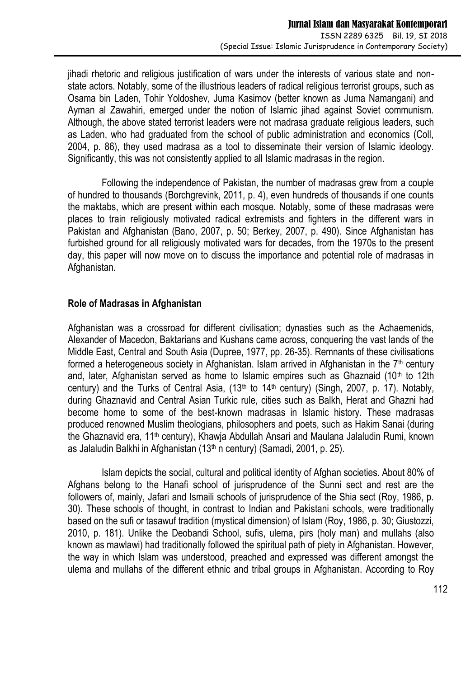jihadi rhetoric and religious justification of wars under the interests of various state and nonstate actors. Notably, some of the illustrious leaders of radical religious terrorist groups, such as Osama bin Laden, Tohir Yoldoshev, Juma Kasimov (better known as Juma Namangani) and Ayman al Zawahiri, emerged under the notion of Islamic jihad against Soviet communism. Although, the above stated terrorist leaders were not madrasa graduate religious leaders, such as Laden, who had graduated from the school of public administration and economics (Coll, 2004, p. 86), they used madrasa as a tool to disseminate their version of Islamic ideology. Significantly, this was not consistently applied to all Islamic madrasas in the region.

Following the independence of Pakistan, the number of madrasas grew from a couple of hundred to thousands (Borchgrevink, 2011, p. 4), even hundreds of thousands if one counts the maktabs, which are present within each mosque. Notably, some of these madrasas were places to train religiously motivated radical extremists and fighters in the different wars in Pakistan and Afghanistan (Bano, 2007, p. 50; Berkey, 2007, p. 490). Since Afghanistan has furbished ground for all religiously motivated wars for decades, from the 1970s to the present day, this paper will now move on to discuss the importance and potential role of madrasas in Afghanistan.

### **Role of Madrasas in Afghanistan**

Afghanistan was a crossroad for different civilisation; dynasties such as the Achaemenids, Alexander of Macedon, Baktarians and Kushans came across, conquering the vast lands of the Middle East, Central and South Asia (Dupree, 1977, pp. 26-35). Remnants of these civilisations formed a heterogeneous society in Afghanistan. Islam arrived in Afghanistan in the  $7<sup>th</sup>$  century and, later, Afghanistan served as home to Islamic empires such as Ghaznaid  $(10<sup>th</sup>$  to 12th century) and the Turks of Central Asia,  $(13<sup>th</sup>$  to  $14<sup>th</sup>$  century) (Singh, 2007, p. 17). Notably, during Ghaznavid and Central Asian Turkic rule, cities such as Balkh, Herat and Ghazni had become home to some of the best-known madrasas in Islamic history. These madrasas produced renowned Muslim theologians, philosophers and poets, such as Hakim Sanai (during the Ghaznavid era, 11<sup>th</sup> century), Khawja Abdullah Ansari and Maulana Jalaludin Rumi, known as Jalaludin Balkhi in Afghanistan (13th n century) (Samadi, 2001, p. 25).

Islam depicts the social, cultural and political identity of Afghan societies. About 80% of Afghans belong to the Hanafi school of jurisprudence of the Sunni sect and rest are the followers of, mainly, Jafari and Ismaili schools of jurisprudence of the Shia sect (Roy, 1986, p. 30). These schools of thought, in contrast to Indian and Pakistani schools, were traditionally based on the sufi or tasawuf tradition (mystical dimension) of Islam (Roy, 1986, p. 30; Giustozzi, 2010, p. 181). Unlike the Deobandi School, sufis, ulema, pirs (holy man) and mullahs (also known as mawlawi) had traditionally followed the spiritual path of piety in Afghanistan. However, the way in which Islam was understood, preached and expressed was different amongst the ulema and mullahs of the different ethnic and tribal groups in Afghanistan. According to Roy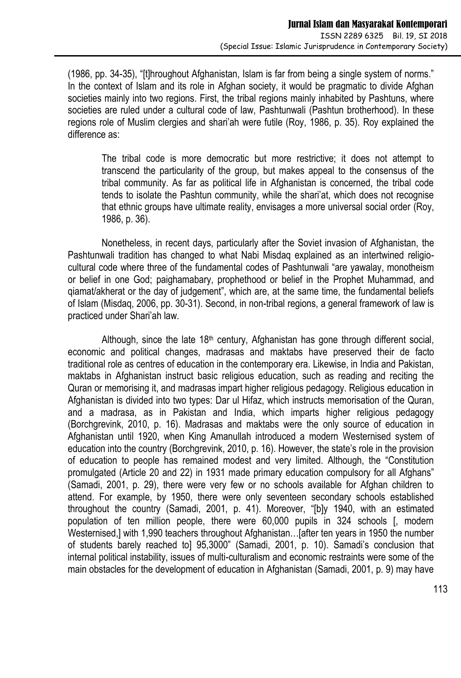(1986, pp. 34-35), "[t]hroughout Afghanistan, Islam is far from being a single system of norms." In the context of Islam and its role in Afghan society, it would be pragmatic to divide Afghan societies mainly into two regions. First, the tribal regions mainly inhabited by Pashtuns, where societies are ruled under a cultural code of law, Pashtunwali (Pashtun brotherhood). In these regions role of Muslim clergies and shari'ah were futile (Roy, 1986, p. 35). Roy explained the difference as:

The tribal code is more democratic but more restrictive; it does not attempt to transcend the particularity of the group, but makes appeal to the consensus of the tribal community. As far as political life in Afghanistan is concerned, the tribal code tends to isolate the Pashtun community, while the shari'at, which does not recognise that ethnic groups have ultimate reality, envisages a more universal social order (Roy, 1986, p. 36).

Nonetheless, in recent days, particularly after the Soviet invasion of Afghanistan, the Pashtunwali tradition has changed to what Nabi Misdaq explained as an intertwined religiocultural code where three of the fundamental codes of Pashtunwali "are yawalay, monotheism or belief in one God; paighamabary, prophethood or belief in the Prophet Muhammad, and qiamat/akherat or the day of judgement", which are, at the same time, the fundamental beliefs of Islam (Misdaq, 2006, pp. 30-31). Second, in non-tribal regions, a general framework of law is practiced under Shari'ah law.

Although, since the late  $18<sup>th</sup>$  century, Afghanistan has gone through different social, economic and political changes, madrasas and maktabs have preserved their de facto traditional role as centres of education in the contemporary era. Likewise, in India and Pakistan, maktabs in Afghanistan instruct basic religious education, such as reading and reciting the Quran or memorising it, and madrasas impart higher religious pedagogy. Religious education in Afghanistan is divided into two types: Dar ul Hifaz, which instructs memorisation of the Quran, and a madrasa, as in Pakistan and India, which imparts higher religious pedagogy (Borchgrevink, 2010, p. 16). Madrasas and maktabs were the only source of education in Afghanistan until 1920, when King Amanullah introduced a modern Westernised system of education into the country (Borchgrevink, 2010, p. 16). However, the state's role in the provision of education to people has remained modest and very limited. Although, the "Constitution promulgated (Article 20 and 22) in 1931 made primary education compulsory for all Afghans" (Samadi, 2001, p. 29), there were very few or no schools available for Afghan children to attend. For example, by 1950, there were only seventeen secondary schools established throughout the country (Samadi, 2001, p. 41). Moreover, "[b]y 1940, with an estimated population of ten million people, there were 60,000 pupils in 324 schools [, modern Westernised, I with 1,990 teachers throughout Afghanistan... [after ten years in 1950 the number of students barely reached to] 95,3000" (Samadi, 2001, p. 10). Samadi's conclusion that internal political instability, issues of multi-culturalism and economic restraints were some of the main obstacles for the development of education in Afghanistan (Samadi, 2001, p. 9) may have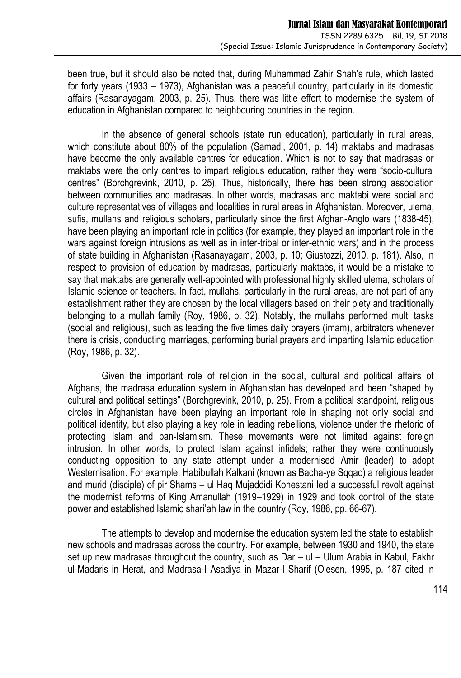been true, but it should also be noted that, during Muhammad Zahir Shah's rule, which lasted for forty years (1933 – 1973), Afghanistan was a peaceful country, particularly in its domestic affairs (Rasanayagam, 2003, p. 25). Thus, there was little effort to modernise the system of education in Afghanistan compared to neighbouring countries in the region.

In the absence of general schools (state run education), particularly in rural areas, which constitute about 80% of the population (Samadi, 2001, p. 14) maktabs and madrasas have become the only available centres for education. Which is not to say that madrasas or maktabs were the only centres to impart religious education, rather they were "socio-cultural centres" (Borchgrevink, 2010, p. 25). Thus, historically, there has been strong association between communities and madrasas. In other words, madrasas and maktabi were social and culture representatives of villages and localities in rural areas in Afghanistan. Moreover, ulema, sufis, mullahs and religious scholars, particularly since the first Afghan-Anglo wars (1838-45), have been playing an important role in politics (for example, they played an important role in the wars against foreign intrusions as well as in inter-tribal or inter-ethnic wars) and in the process of state building in Afghanistan (Rasanayagam, 2003, p. 10; Giustozzi, 2010, p. 181). Also, in respect to provision of education by madrasas, particularly maktabs, it would be a mistake to say that maktabs are generally well-appointed with professional highly skilled ulema, scholars of Islamic science or teachers. In fact, mullahs, particularly in the rural areas, are not part of any establishment rather they are chosen by the local villagers based on their piety and traditionally belonging to a mullah family (Roy, 1986, p. 32). Notably, the mullahs performed multi tasks (social and religious), such as leading the five times daily prayers (imam), arbitrators whenever there is crisis, conducting marriages, performing burial prayers and imparting Islamic education (Roy, 1986, p. 32).

Given the important role of religion in the social, cultural and political affairs of Afghans, the madrasa education system in Afghanistan has developed and been "shaped by cultural and political settings" (Borchgrevink, 2010, p. 25). From a political standpoint, religious circles in Afghanistan have been playing an important role in shaping not only social and political identity, but also playing a key role in leading rebellions, violence under the rhetoric of protecting Islam and pan-Islamism. These movements were not limited against foreign intrusion. In other words, to protect Islam against infidels; rather they were continuously conducting opposition to any state attempt under a modernised Amir (leader) to adopt Westernisation. For example, Habibullah Kalkani (known as Bacha-ye Sqqao) a religious leader and murid (disciple) of pir Shams – ul Haq Mujaddidi Kohestani led a successful revolt against the modernist reforms of King Amanullah (1919–1929) in 1929 and took control of the state power and established Islamic shari'ah law in the country (Roy, 1986, pp. 66-67).

The attempts to develop and modernise the education system led the state to establish new schools and madrasas across the country. For example, between 1930 and 1940, the state set up new madrasas throughout the country, such as Dar – ul – Ulum Arabia in Kabul, Fakhr ul-Madaris in Herat, and Madrasa-I Asadiya in Mazar-I Sharif (Olesen, 1995, p. 187 cited in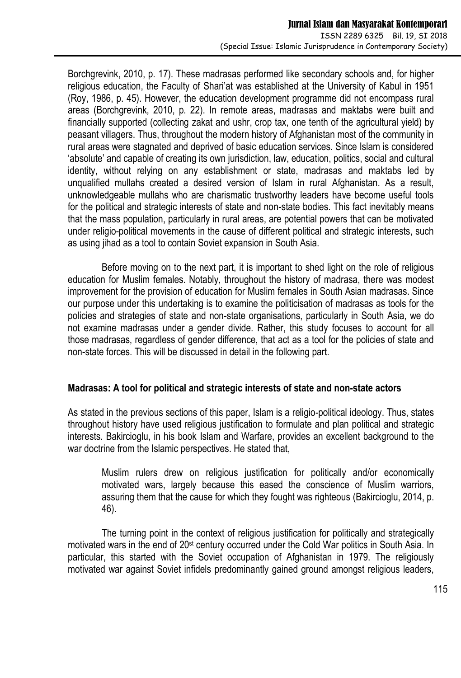Borchgrevink, 2010, p. 17). These madrasas performed like secondary schools and, for higher religious education, the Faculty of Shari'at was established at the University of Kabul in 1951 (Roy, 1986, p. 45). However, the education development programme did not encompass rural areas (Borchgrevink, 2010, p. 22). In remote areas, madrasas and maktabs were built and financially supported (collecting zakat and ushr, crop tax, one tenth of the agricultural yield) by peasant villagers. Thus, throughout the modern history of Afghanistan most of the community in rural areas were stagnated and deprived of basic education services. Since Islam is considered 'absolute' and capable of creating its own jurisdiction, law, education, politics, social and cultural identity, without relying on any establishment or state, madrasas and maktabs led by unqualified mullahs created a desired version of Islam in rural Afghanistan. As a result, unknowledgeable mullahs who are charismatic trustworthy leaders have become useful tools for the political and strategic interests of state and non-state bodies. This fact inevitably means that the mass population, particularly in rural areas, are potential powers that can be motivated under religio-political movements in the cause of different political and strategic interests, such as using jihad as a tool to contain Soviet expansion in South Asia.

Before moving on to the next part, it is important to shed light on the role of religious education for Muslim females. Notably, throughout the history of madrasa, there was modest improvement for the provision of education for Muslim females in South Asian madrasas. Since our purpose under this undertaking is to examine the politicisation of madrasas as tools for the policies and strategies of state and non-state organisations, particularly in South Asia, we do not examine madrasas under a gender divide. Rather, this study focuses to account for all those madrasas, regardless of gender difference, that act as a tool for the policies of state and non-state forces. This will be discussed in detail in the following part.

# **Madrasas: A tool for political and strategic interests of state and non-state actors**

As stated in the previous sections of this paper, Islam is a religio-political ideology. Thus, states throughout history have used religious justification to formulate and plan political and strategic interests. Bakircioglu, in his book Islam and Warfare, provides an excellent background to the war doctrine from the Islamic perspectives. He stated that,

Muslim rulers drew on religious justification for politically and/or economically motivated wars, largely because this eased the conscience of Muslim warriors, assuring them that the cause for which they fought was righteous (Bakircioglu, 2014, p. 46).

The turning point in the context of religious justification for politically and strategically motivated wars in the end of 20st century occurred under the Cold War politics in South Asia. In particular, this started with the Soviet occupation of Afghanistan in 1979. The religiously motivated war against Soviet infidels predominantly gained ground amongst religious leaders,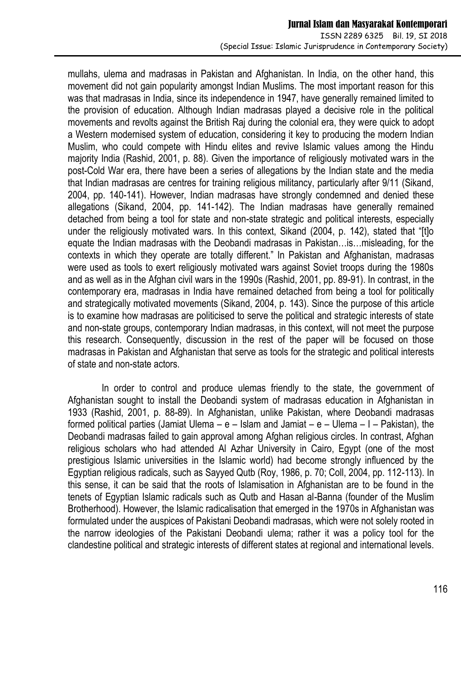mullahs, ulema and madrasas in Pakistan and Afghanistan. In India, on the other hand, this movement did not gain popularity amongst Indian Muslims. The most important reason for this was that madrasas in India, since its independence in 1947, have generally remained limited to the provision of education. Although Indian madrasas played a decisive role in the political movements and revolts against the British Raj during the colonial era, they were quick to adopt a Western modernised system of education, considering it key to producing the modern Indian Muslim, who could compete with Hindu elites and revive Islamic values among the Hindu majority India (Rashid, 2001, p. 88). Given the importance of religiously motivated wars in the post-Cold War era, there have been a series of allegations by the Indian state and the media that Indian madrasas are centres for training religious militancy, particularly after 9/11 (Sikand, 2004, pp. 140-141). However, Indian madrasas have strongly condemned and denied these allegations (Sikand, 2004, pp. 141-142). The Indian madrasas have generally remained detached from being a tool for state and non-state strategic and political interests, especially under the religiously motivated wars. In this context, Sikand (2004, p. 142), stated that "[t]o equate the Indian madrasas with the Deobandi madrasas in Pakistan…is…misleading, for the contexts in which they operate are totally different." In Pakistan and Afghanistan, madrasas were used as tools to exert religiously motivated wars against Soviet troops during the 1980s and as well as in the Afghan civil wars in the 1990s (Rashid, 2001, pp. 89-91). In contrast, in the contemporary era, madrasas in India have remained detached from being a tool for politically and strategically motivated movements (Sikand, 2004, p. 143). Since the purpose of this article is to examine how madrasas are politicised to serve the political and strategic interests of state and non-state groups, contemporary Indian madrasas, in this context, will not meet the purpose this research. Consequently, discussion in the rest of the paper will be focused on those madrasas in Pakistan and Afghanistan that serve as tools for the strategic and political interests of state and non-state actors.

In order to control and produce ulemas friendly to the state, the government of Afghanistan sought to install the Deobandi system of madrasas education in Afghanistan in 1933 (Rashid, 2001, p. 88-89). In Afghanistan, unlike Pakistan, where Deobandi madrasas formed political parties (Jamiat Ulema –  $e$  – Islam and Jamiat –  $e$  – Ulema – I – Pakistan), the Deobandi madrasas failed to gain approval among Afghan religious circles. In contrast, Afghan religious scholars who had attended Al Azhar University in Cairo, Egypt (one of the most prestigious Islamic universities in the Islamic world) had become strongly influenced by the Egyptian religious radicals, such as Sayyed Qutb (Roy, 1986, p. 70; Coll, 2004, pp. 112-113). In this sense, it can be said that the roots of Islamisation in Afghanistan are to be found in the tenets of Egyptian Islamic radicals such as Qutb and Hasan al-Banna (founder of the Muslim Brotherhood). However, the Islamic radicalisation that emerged in the 1970s in Afghanistan was formulated under the auspices of Pakistani Deobandi madrasas, which were not solely rooted in the narrow ideologies of the Pakistani Deobandi ulema; rather it was a policy tool for the clandestine political and strategic interests of different states at regional and international levels.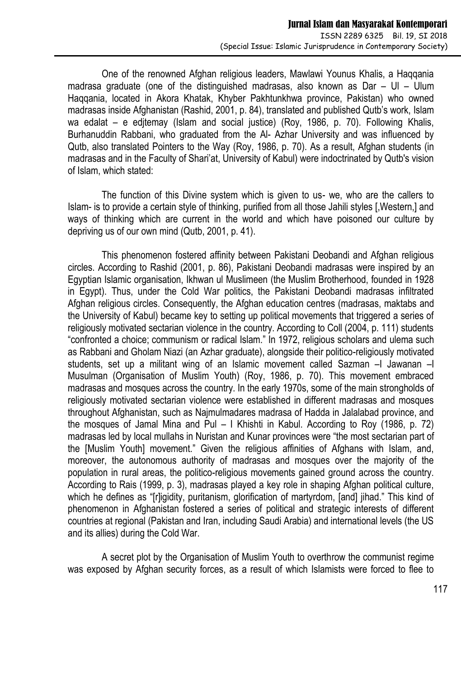One of the renowned Afghan religious leaders, Mawlawi Younus Khalis, a Haqqania madrasa graduate (one of the distinguished madrasas, also known as  $Dar - Ul - Ul$ Haqqania, located in Akora Khatak, Khyber Pakhtunkhwa province, Pakistan) who owned madrasas inside Afghanistan (Rashid, 2001, p. 84), translated and published Qutb's work, Islam wa edalat – e edjtemay (Islam and social justice) (Roy, 1986, p. 70). Following Khalis, Burhanuddin Rabbani, who graduated from the Al- Azhar University and was influenced by Qutb, also translated Pointers to the Way (Roy, 1986, p. 70). As a result, Afghan students (in madrasas and in the Faculty of Shari'at, University of Kabul) were indoctrinated by Qutb's vision of Islam, which stated:

The function of this Divine system which is given to us- we, who are the callers to Islam- is to provide a certain style of thinking, purified from all those Jahili styles [,Western,] and ways of thinking which are current in the world and which have poisoned our culture by depriving us of our own mind (Qutb, 2001, p. 41).

This phenomenon fostered affinity between Pakistani Deobandi and Afghan religious circles. According to Rashid (2001, p. 86), Pakistani Deobandi madrasas were inspired by an Egyptian Islamic organisation, Ikhwan ul Muslimeen (the Muslim Brotherhood, founded in 1928 in Egypt). Thus, under the Cold War politics, the Pakistani Deobandi madrasas infiltrated Afghan religious circles. Consequently, the Afghan education centres (madrasas, maktabs and the University of Kabul) became key to setting up political movements that triggered a series of religiously motivated sectarian violence in the country. According to Coll (2004, p. 111) students "confronted a choice; communism or radical Islam." In 1972, religious scholars and ulema such as Rabbani and Gholam Niazi (an Azhar graduate), alongside their politico-religiously motivated students, set up a militant wing of an Islamic movement called Sazman - Jawanan - I Musulman (Organisation of Muslim Youth) (Roy, 1986, p. 70). This movement embraced madrasas and mosques across the country. In the early 1970s, some of the main strongholds of religiously motivated sectarian violence were established in different madrasas and mosques throughout Afghanistan, such as Najmulmadares madrasa of Hadda in Jalalabad province, and the mosques of Jamal Mina and Pul – I Khishti in Kabul. According to Roy (1986, p. 72) madrasas led by local mullahs in Nuristan and Kunar provinces were "the most sectarian part of the [Muslim Youth] movement." Given the religious affinities of Afghans with Islam, and, moreover, the autonomous authority of madrasas and mosques over the majority of the population in rural areas, the politico-religious movements gained ground across the country. According to Rais (1999, p. 3), madrasas played a key role in shaping Afghan political culture, which he defines as "[r]igidity, puritanism, glorification of martyrdom, [and] jihad." This kind of phenomenon in Afghanistan fostered a series of political and strategic interests of different countries at regional (Pakistan and Iran, including Saudi Arabia) and international levels (the US and its allies) during the Cold War.

A secret plot by the Organisation of Muslim Youth to overthrow the communist regime was exposed by Afghan security forces, as a result of which Islamists were forced to flee to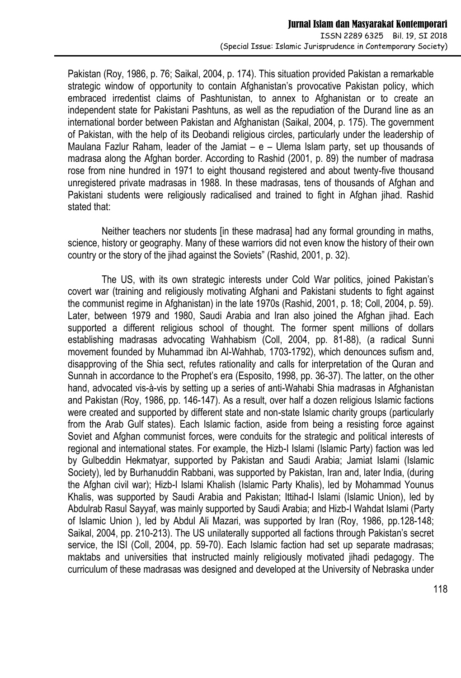Pakistan (Roy, 1986, p. 76; Saikal, 2004, p. 174). This situation provided Pakistan a remarkable strategic window of opportunity to contain Afghanistan's provocative Pakistan policy, which embraced irredentist claims of Pashtunistan, to annex to Afghanistan or to create an independent state for Pakistani Pashtuns, as well as the repudiation of the Durand line as an international border between Pakistan and Afghanistan (Saikal, 2004, p. 175). The government of Pakistan, with the help of its Deobandi religious circles, particularly under the leadership of Maulana Fazlur Raham, leader of the Jamiat – e – Ulema Islam party, set up thousands of madrasa along the Afghan border. According to Rashid (2001, p. 89) the number of madrasa rose from nine hundred in 1971 to eight thousand registered and about twenty-five thousand unregistered private madrasas in 1988. In these madrasas, tens of thousands of Afghan and Pakistani students were religiously radicalised and trained to fight in Afghan jihad. Rashid stated that:

Neither teachers nor students [in these madrasa] had any formal grounding in maths, science, history or geography. Many of these warriors did not even know the history of their own country or the story of the jihad against the Soviets" (Rashid, 2001, p. 32).

The US, with its own strategic interests under Cold War politics, joined Pakistan's covert war (training and religiously motivating Afghani and Pakistani students to fight against the communist regime in Afghanistan) in the late 1970s (Rashid, 2001, p. 18; Coll, 2004, p. 59). Later, between 1979 and 1980, Saudi Arabia and Iran also joined the Afghan jihad. Each supported a different religious school of thought. The former spent millions of dollars establishing madrasas advocating Wahhabism (Coll, 2004, pp. 81-88), (a radical Sunni movement founded by Muhammad ibn Al-Wahhab, 1703-1792), which denounces sufism and, disapproving of the Shia sect, refutes rationality and calls for interpretation of the Quran and Sunnah in accordance to the Prophet's era (Esposito, 1998, pp. 36-37). The latter, on the other hand, advocated vis-à-vis by setting up a series of anti-Wahabi Shia madrasas in Afghanistan and Pakistan (Roy, 1986, pp. 146-147). As a result, over half a dozen religious Islamic factions were created and supported by different state and non-state Islamic charity groups (particularly from the Arab Gulf states). Each Islamic faction, aside from being a resisting force against Soviet and Afghan communist forces, were conduits for the strategic and political interests of regional and international states. For example, the Hizb-I Islami (Islamic Party) faction was led by Gulbeddin Hekmatyar, supported by Pakistan and Saudi Arabia; Jamiat Islami (Islamic Society), led by Burhanuddin Rabbani, was supported by Pakistan, Iran and, later India, (during the Afghan civil war); Hizb-I Islami Khalish (Islamic Party Khalis), led by Mohammad Younus Khalis, was supported by Saudi Arabia and Pakistan; Ittihad-I Islami (Islamic Union), led by Abdulrab Rasul Sayyaf, was mainly supported by Saudi Arabia; and Hizb-I Wahdat Islami (Party of Islamic Union ), led by Abdul Ali Mazari, was supported by Iran (Roy, 1986, pp.128-148; Saikal, 2004, pp. 210-213). The US unilaterally supported all factions through Pakistan's secret service, the ISI (Coll, 2004, pp. 59-70). Each Islamic faction had set up separate madrasas; maktabs and universities that instructed mainly religiously motivated jihadi pedagogy. The curriculum of these madrasas was designed and developed at the University of Nebraska under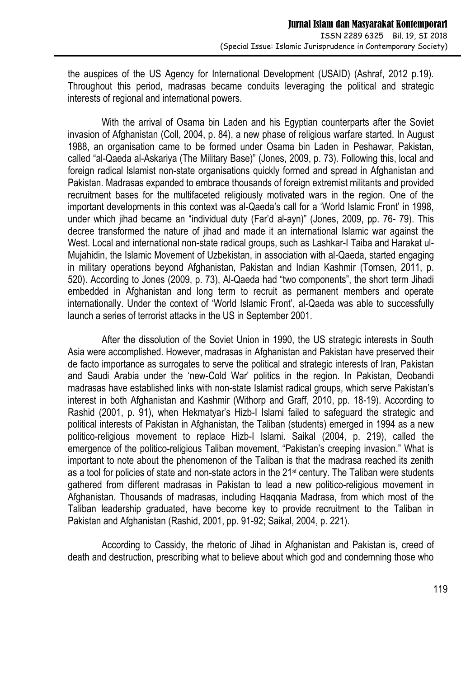the auspices of the US Agency for International Development (USAID) (Ashraf, 2012 p.19). Throughout this period, madrasas became conduits leveraging the political and strategic interests of regional and international powers.

With the arrival of Osama bin Laden and his Egyptian counterparts after the Soviet invasion of Afghanistan (Coll, 2004, p. 84), a new phase of religious warfare started. In August 1988, an organisation came to be formed under Osama bin Laden in Peshawar, Pakistan, called "al-Qaeda al-Askariya (The Military Base)" (Jones, 2009, p. 73). Following this, local and foreign radical Islamist non-state organisations quickly formed and spread in Afghanistan and Pakistan. Madrasas expanded to embrace thousands of foreign extremist militants and provided recruitment bases for the multifaceted religiously motivated wars in the region. One of the important developments in this context was al-Qaeda's call for a 'World Islamic Front' in 1998, under which jihad became an "individual duty (Far'd al-ayn)" (Jones, 2009, pp. 76- 79). This decree transformed the nature of jihad and made it an international Islamic war against the West. Local and international non-state radical groups, such as Lashkar-I Taiba and Harakat ul-Mujahidin, the Islamic Movement of Uzbekistan, in association with al-Qaeda, started engaging in military operations beyond Afghanistan, Pakistan and Indian Kashmir (Tomsen, 2011, p. 520). According to Jones (2009, p. 73), Al-Qaeda had "two components", the short term Jihadi embedded in Afghanistan and long term to recruit as permanent members and operate internationally. Under the context of 'World Islamic Front', al-Qaeda was able to successfully launch a series of terrorist attacks in the US in September 2001.

After the dissolution of the Soviet Union in 1990, the US strategic interests in South Asia were accomplished. However, madrasas in Afghanistan and Pakistan have preserved their de facto importance as surrogates to serve the political and strategic interests of Iran, Pakistan and Saudi Arabia under the 'new-Cold War' politics in the region. In Pakistan, Deobandi madrasas have established links with non-state Islamist radical groups, which serve Pakistan's interest in both Afghanistan and Kashmir (Withorp and Graff, 2010, pp. 18-19). According to Rashid (2001, p. 91), when Hekmatyar's Hizb-I Islami failed to safeguard the strategic and political interests of Pakistan in Afghanistan, the Taliban (students) emerged in 1994 as a new politico-religious movement to replace Hizb-I Islami. Saikal (2004, p. 219), called the emergence of the politico-religious Taliban movement, "Pakistan's creeping invasion." What is important to note about the phenomenon of the Taliban is that the madrasa reached its zenith as a tool for policies of state and non-state actors in the 21st century. The Taliban were students gathered from different madrasas in Pakistan to lead a new politico-religious movement in Afghanistan. Thousands of madrasas, including Haqqania Madrasa, from which most of the Taliban leadership graduated, have become key to provide recruitment to the Taliban in Pakistan and Afghanistan (Rashid, 2001, pp. 91-92; Saikal, 2004, p. 221).

According to Cassidy, the rhetoric of Jihad in Afghanistan and Pakistan is, creed of death and destruction, prescribing what to believe about which god and condemning those who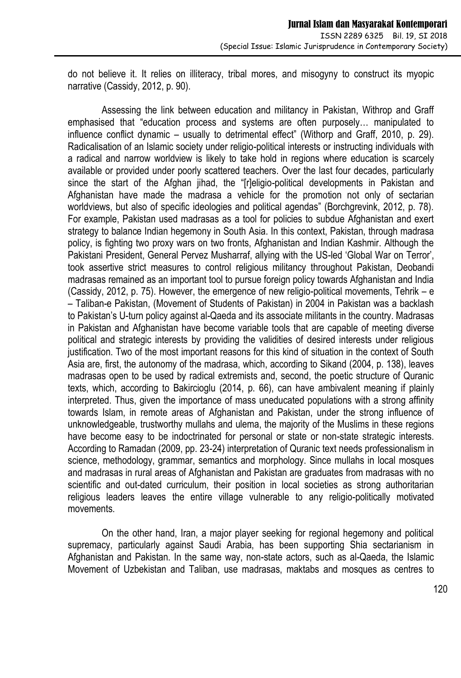do not believe it. It relies on illiteracy, tribal mores, and misogyny to construct its myopic narrative (Cassidy, 2012, p. 90).

Assessing the link between education and militancy in Pakistan, Withrop and Graff emphasised that "education process and systems are often purposely… manipulated to influence conflict dynamic – usually to detrimental effect" (Withorp and Graff, 2010, p. 29). Radicalisation of an Islamic society under religio-political interests or instructing individuals with a radical and narrow worldview is likely to take hold in regions where education is scarcely available or provided under poorly scattered teachers. Over the last four decades, particularly since the start of the Afghan jihad, the "[r]eligio-political developments in Pakistan and Afghanistan have made the madrasa a vehicle for the promotion not only of sectarian worldviews, but also of specific ideologies and political agendas" (Borchgrevink, 2012, p. 78). For example, Pakistan used madrasas as a tool for policies to subdue Afghanistan and exert strategy to balance Indian hegemony in South Asia. In this context, Pakistan, through madrasa policy, is fighting two proxy wars on two fronts, Afghanistan and Indian Kashmir. Although the Pakistani President, General Pervez Musharraf, allying with the US-led 'Global War on Terror', took assertive strict measures to control religious militancy throughout Pakistan, Deobandi madrasas remained as an important tool to pursue foreign policy towards Afghanistan and India (Cassidy, 2012, p. 75). However, the emergence of new religio-political movements, Tehrik – e – Taliban-e Pakistan, (Movement of Students of Pakistan) in 2004 in Pakistan was a backlash to Pakistan's U-turn policy against al-Qaeda and its associate militants in the country. Madrasas in Pakistan and Afghanistan have become variable tools that are capable of meeting diverse political and strategic interests by providing the validities of desired interests under religious justification. Two of the most important reasons for this kind of situation in the context of South Asia are, first, the autonomy of the madrasa, which, according to Sikand (2004, p. 138), leaves madrasas open to be used by radical extremists and, second, the poetic structure of Quranic texts, which, according to Bakircioglu (2014, p. 66), can have ambivalent meaning if plainly interpreted. Thus, given the importance of mass uneducated populations with a strong affinity towards Islam, in remote areas of Afghanistan and Pakistan, under the strong influence of unknowledgeable, trustworthy mullahs and ulema, the majority of the Muslims in these regions have become easy to be indoctrinated for personal or state or non-state strategic interests. According to Ramadan (2009, pp. 23-24) interpretation of Quranic text needs professionalism in science, methodology, grammar, semantics and morphology. Since mullahs in local mosques and madrasas in rural areas of Afghanistan and Pakistan are graduates from madrasas with no scientific and out-dated curriculum, their position in local societies as strong authoritarian religious leaders leaves the entire village vulnerable to any religio-politically motivated movements.

On the other hand, Iran, a major player seeking for regional hegemony and political supremacy, particularly against Saudi Arabia, has been supporting Shia sectarianism in Afghanistan and Pakistan. In the same way, non-state actors, such as al-Qaeda, the Islamic Movement of Uzbekistan and Taliban, use madrasas, maktabs and mosques as centres to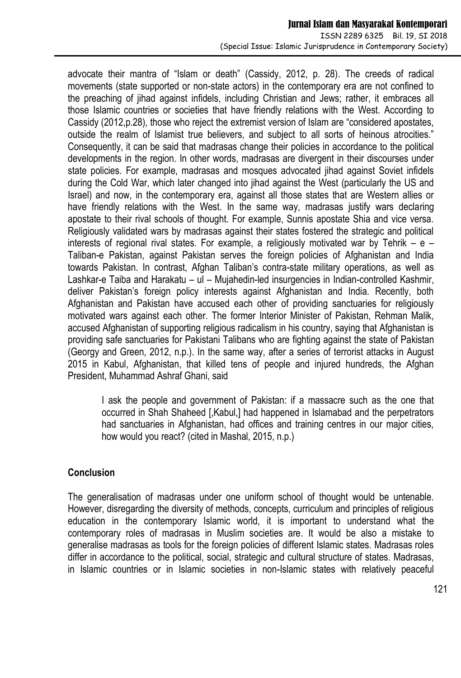advocate their mantra of "Islam or death" (Cassidy, 2012, p. 28). The creeds of radical movements (state supported or non-state actors) in the contemporary era are not confined to the preaching of jihad against infidels, including Christian and Jews; rather, it embraces all those Islamic countries or societies that have friendly relations with the West. According to Cassidy (2012,p.28), those who reject the extremist version of Islam are "considered apostates, outside the realm of Islamist true believers, and subject to all sorts of heinous atrocities." Consequently, it can be said that madrasas change their policies in accordance to the political developments in the region. In other words, madrasas are divergent in their discourses under state policies. For example, madrasas and mosques advocated jihad against Soviet infidels during the Cold War, which later changed into jihad against the West (particularly the US and Israel) and now, in the contemporary era, against all those states that are Western allies or have friendly relations with the West. In the same way, madrasas justify wars declaring apostate to their rival schools of thought. For example, Sunnis apostate Shia and vice versa. Religiously validated wars by madrasas against their states fostered the strategic and political interests of regional rival states. For example, a religiously motivated war by Tehrik  $-$  e  $-$ Taliban-e Pakistan, against Pakistan serves the foreign policies of Afghanistan and India towards Pakistan. In contrast, Afghan Taliban's contra-state military operations, as well as Lashkar-e Taiba and Harakatu – ul – Mujahedin-led insurgencies in Indian-controlled Kashmir, deliver Pakistan's foreign policy interests against Afghanistan and India. Recently, both Afghanistan and Pakistan have accused each other of providing sanctuaries for religiously motivated wars against each other. The former Interior Minister of Pakistan, Rehman Malik, accused Afghanistan of supporting religious radicalism in his country, saying that Afghanistan is providing safe sanctuaries for Pakistani Talibans who are fighting against the state of Pakistan (Georgy and Green, 2012, n.p.). In the same way, after a series of terrorist attacks in August 2015 in Kabul, Afghanistan, that killed tens of people and injured hundreds, the Afghan President, Muhammad Ashraf Ghani, said

I ask the people and government of Pakistan: if a massacre such as the one that occurred in Shah Shaheed [,Kabul,] had happened in Islamabad and the perpetrators had sanctuaries in Afghanistan, had offices and training centres in our major cities, how would you react? (cited in Mashal, 2015, n.p.)

# **Conclusion**

The generalisation of madrasas under one uniform school of thought would be untenable. However, disregarding the diversity of methods, concepts, curriculum and principles of religious education in the contemporary Islamic world, it is important to understand what the contemporary roles of madrasas in Muslim societies are. It would be also a mistake to generalise madrasas as tools for the foreign policies of different Islamic states. Madrasas roles differ in accordance to the political, social, strategic and cultural structure of states. Madrasas, in Islamic countries or in Islamic societies in non-Islamic states with relatively peaceful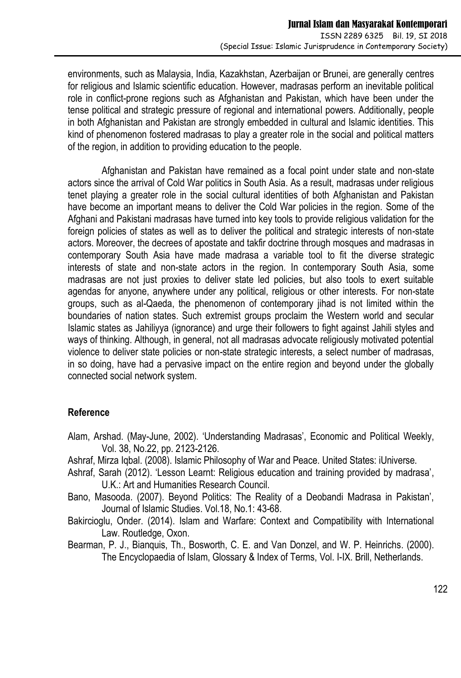environments, such as Malaysia, India, Kazakhstan, Azerbaijan or Brunei, are generally centres for religious and Islamic scientific education. However, madrasas perform an inevitable political role in conflict-prone regions such as Afghanistan and Pakistan, which have been under the tense political and strategic pressure of regional and international powers. Additionally, people in both Afghanistan and Pakistan are strongly embedded in cultural and Islamic identities. This kind of phenomenon fostered madrasas to play a greater role in the social and political matters of the region, in addition to providing education to the people.

Afghanistan and Pakistan have remained as a focal point under state and non-state actors since the arrival of Cold War politics in South Asia. As a result, madrasas under religious tenet playing a greater role in the social cultural identities of both Afghanistan and Pakistan have become an important means to deliver the Cold War policies in the region. Some of the Afghani and Pakistani madrasas have turned into key tools to provide religious validation for the foreign policies of states as well as to deliver the political and strategic interests of non-state actors. Moreover, the decrees of apostate and takfir doctrine through mosques and madrasas in contemporary South Asia have made madrasa a variable tool to fit the diverse strategic interests of state and non-state actors in the region. In contemporary South Asia, some madrasas are not just proxies to deliver state led policies, but also tools to exert suitable agendas for anyone, anywhere under any political, religious or other interests. For non-state groups, such as al-Qaeda, the phenomenon of contemporary jihad is not limited within the boundaries of nation states. Such extremist groups proclaim the Western world and secular Islamic states as Jahiliyya (ignorance) and urge their followers to fight against Jahili styles and ways of thinking. Although, in general, not all madrasas advocate religiously motivated potential violence to deliver state policies or non-state strategic interests, a select number of madrasas, in so doing, have had a pervasive impact on the entire region and beyond under the globally connected social network system.

# **Reference**

- Alam, Arshad. (May-June, 2002). 'Understanding Madrasas', Economic and Political Weekly, Vol. 38, No.22, pp. 2123-2126.
- Ashraf, Mirza Iqbal. (2008). Islamic Philosophy of War and Peace. United States: iUniverse.
- Ashraf, Sarah (2012). 'Lesson Learnt: Religious education and training provided by madrasa', U.K.: Art and Humanities Research Council.
- Bano, Masooda. (2007). Beyond Politics: The Reality of a Deobandi Madrasa in Pakistan', Journal of Islamic Studies. Vol.18, No.1: 43-68.
- Bakircioglu, Onder. (2014). Islam and Warfare: Context and Compatibility with International Law. Routledge, Oxon.
- Bearman, P. J., Bianquis, Th., Bosworth, C. E. and Van Donzel, and W. P. Heinrichs. (2000). The Encyclopaedia of Islam, Glossary & Index of Terms, Vol. I-IX. Brill, Netherlands.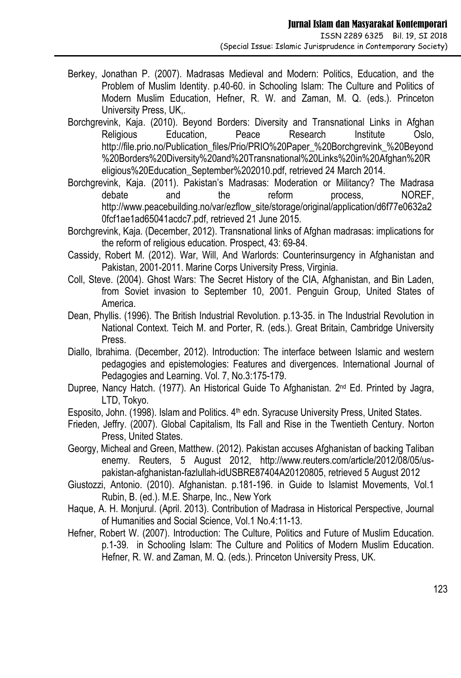- Berkey, Jonathan P. (2007). Madrasas Medieval and Modern: Politics, Education, and the Problem of Muslim Identity. p.40-60. in Schooling Islam: The Culture and Politics of Modern Muslim Education, Hefner, R. W. and Zaman, M. Q. (eds.). Princeton University Press, UK,.
- Borchgrevink, Kaja. (2010). Beyond Borders: Diversity and Transnational Links in Afghan Religious Education, Peace Research Institute Oslo, http://file.prio.no/Publication\_files/Prio/PRIO%20Paper\_%20Borchgrevink\_%20Beyond %20Borders%20Diversity%20and%20Transnational%20Links%20in%20Afghan%20R eligious%20Education\_September%202010.pdf, retrieved 24 March 2014.
- Borchgrevink, Kaja. (2011). Pakistan's Madrasas: Moderation or Militancy? The Madrasa debate and the reform process, NOREF, http://www.peacebuilding.no/var/ezflow\_site/storage/original/application/d6f77e0632a2 0fcf1ae1ad65041acdc7.pdf, retrieved 21 June 2015.
- Borchgrevink, Kaja. (December, 2012). Transnational links of Afghan madrasas: implications for the reform of religious education. Prospect, 43: 69-84.
- Cassidy, Robert M. (2012). War, Will, And Warlords: Counterinsurgency in Afghanistan and Pakistan, 2001-2011. Marine Corps University Press, Virginia.
- Coll, Steve. (2004). Ghost Wars: The Secret History of the CIA, Afghanistan, and Bin Laden, from Soviet invasion to September 10, 2001. Penguin Group, United States of America.
- Dean, Phyllis. (1996). The British Industrial Revolution. p.13-35. in The Industrial Revolution in National Context. Teich M. and Porter, R. (eds.). Great Britain, Cambridge University Press.
- Diallo, Ibrahima. (December, 2012). Introduction: The interface between Islamic and western pedagogies and epistemologies: Features and divergences. International Journal of Pedagogies and Learning. Vol. 7, No.3:175-179.
- Dupree, Nancy Hatch. (1977). An Historical Guide To Afghanistan. 2<sup>nd</sup> Ed. Printed by Jagra, LTD, Tokyo.
- Esposito, John. (1998). Islam and Politics. 4<sup>th</sup> edn. Syracuse University Press, United States.
- Frieden, Jeffry. (2007). Global Capitalism, Its Fall and Rise in the Twentieth Century. Norton Press, United States.
- Georgy, Micheal and Green, Matthew. (2012). Pakistan accuses Afghanistan of backing Taliban enemy. Reuters, 5 August 2012, http://www.reuters.com/article/2012/08/05/uspakistan-afghanistan-fazlullah-idUSBRE87404A20120805, retrieved 5 August 2012
- Giustozzi, Antonio. (2010). Afghanistan. p.181-196. in Guide to Islamist Movements, Vol.1 Rubin, B. (ed.). M.E. Sharpe, Inc., New York
- Haque, A. H. Monjurul. (April. 2013). Contribution of Madrasa in Historical Perspective, Journal of Humanities and Social Science, Vol.1 No.4:11-13.
- Hefner, Robert W. (2007). Introduction: The Culture, Politics and Future of Muslim Education. p.1-39. in Schooling Islam: The Culture and Politics of Modern Muslim Education. Hefner, R. W. and Zaman, M. Q. (eds.). Princeton University Press, UK.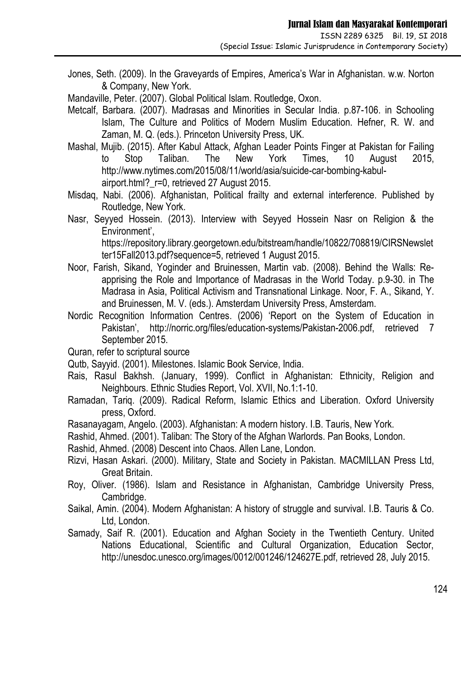Jones, Seth. (2009). In the Graveyards of Empires, America's War in Afghanistan. w.w. Norton & Company, New York.

Mandaville, Peter. (2007). Global Political Islam. Routledge, Oxon.

- Metcalf, Barbara. (2007). Madrasas and Minorities in Secular India. p.87-106. in Schooling Islam, The Culture and Politics of Modern Muslim Education. Hefner, R. W. and Zaman, M. Q. (eds.). Princeton University Press, UK.
- Mashal, Mujib. (2015). After Kabul Attack, Afghan Leader Points Finger at Pakistan for Failing to Stop Taliban. The New York Times, 10 August 2015, http://www.nytimes.com/2015/08/11/world/asia/suicide-car-bombing-kabulairport.html?\_r=0, retrieved 27 August 2015.
- Misdaq, Nabi. (2006). Afghanistan, Political frailty and external interference. Published by Routledge, New York.
- Nasr, Seyyed Hossein. (2013). Interview with Seyyed Hossein Nasr on Religion & the Environment', https://repository.library.georgetown.edu/bitstream/handle/10822/708819/CIRSNewslet

ter15Fall2013.pdf?sequence=5, retrieved 1 August 2015.

- Noor, Farish, Sikand, Yoginder and Bruinessen, Martin vab. (2008). Behind the Walls: Reapprising the Role and Importance of Madrasas in the World Today. p.9-30. in The Madrasa in Asia, Political Activism and Transnational Linkage. Noor, F. A., Sikand, Y. and Bruinessen, M. V. (eds.). Amsterdam University Press, Amsterdam.
- Nordic Recognition Information Centres. (2006) 'Report on the System of Education in Pakistan', http://norric.org/files/education-systems/Pakistan-2006.pdf, retrieved 7 September 2015.
- Quran, refer to scriptural source
- Qutb, Sayyid. (2001). Milestones. Islamic Book Service, India.
- Rais, Rasul Bakhsh. (January, 1999). Conflict in Afghanistan: Ethnicity, Religion and Neighbours. Ethnic Studies Report, Vol. XVII, No.1:1-10.
- Ramadan, Tariq. (2009). Radical Reform, Islamic Ethics and Liberation. Oxford University press, Oxford.
- Rasanayagam, Angelo. (2003). Afghanistan: A modern history. I.B. Tauris, New York.
- Rashid, Ahmed. (2001). Taliban: The Story of the Afghan Warlords. Pan Books, London.

Rashid, Ahmed. (2008) Descent into Chaos. Allen Lane, London.

- Rizvi, Hasan Askari. (2000). Military, State and Society in Pakistan. MACMILLAN Press Ltd, Great Britain.
- Roy, Oliver. (1986). Islam and Resistance in Afghanistan, Cambridge University Press, Cambridge.
- Saikal, Amin. (2004). Modern Afghanistan: A history of struggle and survival. I.B. Tauris & Co. Ltd, London.
- Samady, Saif R. (2001). Education and Afghan Society in the Twentieth Century. United Nations Educational, Scientific and Cultural Organization, Education Sector, http://unesdoc.unesco.org/images/0012/001246/124627E.pdf, retrieved 28, July 2015.